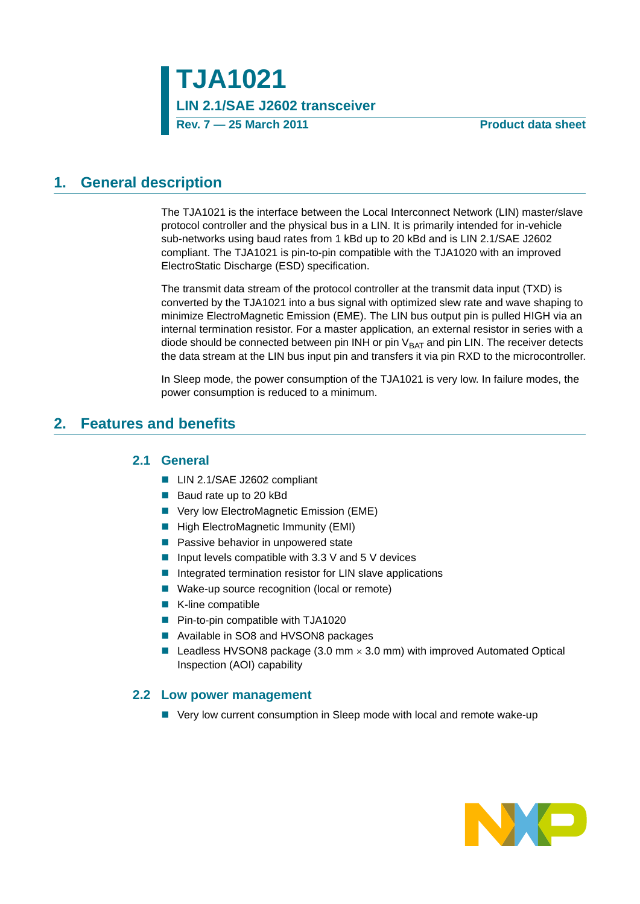**TJA1021 LIN 2.1/SAE J2602 transceiver Rev. 7 — 25 March 2011 Product data sheet**

### <span id="page-0-1"></span>**1. General description**

The TJA1021 is the interface between the Local Interconnect Network (LIN) master/slave protocol controller and the physical bus in a LIN. It is primarily intended for in-vehicle sub-networks using baud rates from 1 kBd up to 20 kBd and is LIN 2.1/SAE J2602 compliant. The TJA1021 is pin-to-pin compatible with the TJA1020 with an improved ElectroStatic Discharge (ESD) specification.

The transmit data stream of the protocol controller at the transmit data input (TXD) is converted by the TJA1021 into a bus signal with optimized slew rate and wave shaping to minimize ElectroMagnetic Emission (EME). The LIN bus output pin is pulled HIGH via an internal termination resistor. For a master application, an external resistor in series with a diode should be connected between pin INH or pin  $V<sub>BAT</sub>$  and pin LIN. The receiver detects the data stream at the LIN bus input pin and transfers it via pin RXD to the microcontroller.

In Sleep mode, the power consumption of the TJA1021 is very low. In failure modes, the power consumption is reduced to a minimum.

### <span id="page-0-2"></span><span id="page-0-0"></span>**2. Features and benefits**

#### **2.1 General**

- LIN 2.1/SAE J2602 compliant
- Baud rate up to 20 kBd
- Very low ElectroMagnetic Emission (EME)
- **High ElectroMagnetic Immunity (EMI)**
- **Passive behavior in unpowered state**
- **I** Input levels compatible with 3.3 V and 5 V devices
- $\blacksquare$  Integrated termination resistor for LIN slave applications
- Wake-up source recognition (local or remote)
- K-line compatible
- **Pin-to-pin compatible with TJA1020**
- Available in SO8 and HVSON8 packages
- Leadless HVSON8 package (3.0 mm  $\times$  3.0 mm) with improved Automated Optical Inspection (AOI) capability

#### <span id="page-0-3"></span>**2.2 Low power management**

■ Very low current consumption in Sleep mode with local and remote wake-up

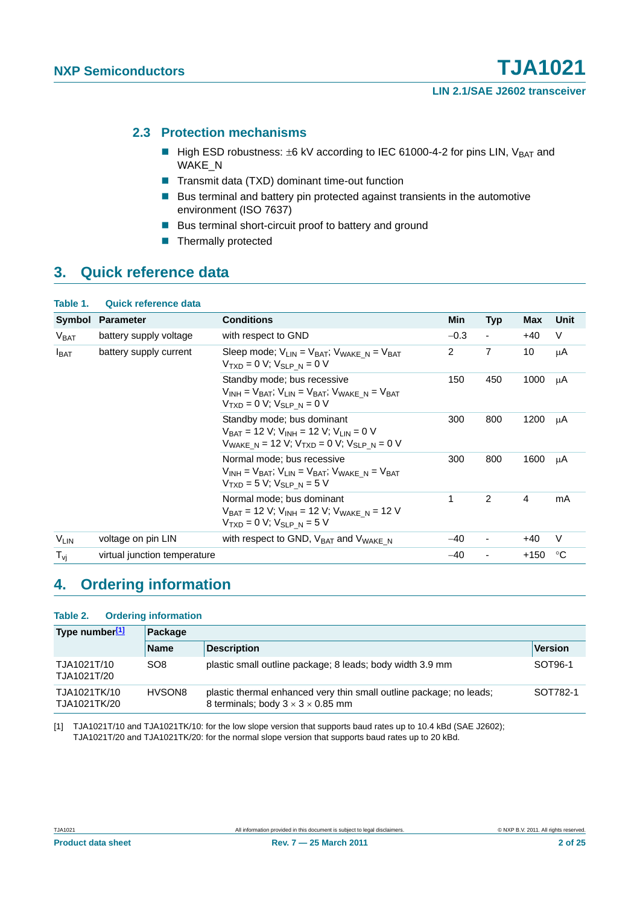#### <span id="page-1-1"></span>**2.3 Protection mechanisms**

- High ESD robustness:  $\pm 6$  kV according to IEC 61000-4-2 for pins LIN, V<sub>BAT</sub> and WAKE\_N
- Transmit data (TXD) dominant time-out function
- Bus terminal and battery pin protected against transients in the automotive environment (ISO 7637)
- Bus terminal short-circuit proof to battery and ground
- **Thermally protected**

### <span id="page-1-2"></span>**3. Quick reference data**

| Table 1.                                   | <b>Quick reference data</b>                                                                                                                                |                                                                                                                                           |        |                          |                |      |
|--------------------------------------------|------------------------------------------------------------------------------------------------------------------------------------------------------------|-------------------------------------------------------------------------------------------------------------------------------------------|--------|--------------------------|----------------|------|
| Symbol                                     | <b>Parameter</b>                                                                                                                                           | <b>Conditions</b>                                                                                                                         | Min    | <b>Typ</b>               | Max            | Unit |
| V <sub>BAT</sub>                           | battery supply voltage                                                                                                                                     | with respect to GND                                                                                                                       | $-0.3$ | $\overline{\phantom{a}}$ | $+40$          | V    |
| battery supply current<br>$I_{\text{BAT}}$ |                                                                                                                                                            | Sleep mode; $V_{I IN} = V_{BAT}$ ; $V_{WAKF N} = V_{BAT}$<br>$V_{TXD} = 0 V; V_{SLP N} = 0 V$                                             | 2      | $\overline{7}$           | 10             | μA   |
|                                            | Standby mode; bus recessive<br>$V_{INH} = V_{BAT}$ ; $V_{LIN} = V_{BAT}$ ; $V_{WAKE}$ $N = V_{BAT}$<br>$V_{TXD} = 0 V$ ; $V_{SIPN} = 0 V$                  | 150                                                                                                                                       | 450    | 1000                     | μA             |      |
|                                            | Standby mode; bus dominant<br>$V_{BAT}$ = 12 V; V <sub>INH</sub> = 12 V; V <sub>LIN</sub> = 0 V<br>$V_{WAKE N}$ = 12 V; $V_{TXD}$ = 0 V; $V_{SLP N}$ = 0 V | 300                                                                                                                                       | 800    | 1200                     | μA             |      |
|                                            |                                                                                                                                                            | Normal mode; bus recessive<br>$V_{INH} = V_{BAT}$ ; $V_{IIN} = V_{BAT}$ ; $V_{WAKF}$ n = $V_{BAT}$<br>$V_{TXD} = 5 V; V_{SIPN} = 5 V$     | 300    | 800                      | 1600           | μA   |
|                                            |                                                                                                                                                            | Normal mode; bus dominant<br>$V_{BAT}$ = 12 V; V <sub>INH</sub> = 12 V; V <sub>WAKE N</sub> = 12 V<br>$V_{TXD} = 0 V$ ; $V_{SLP N} = 5 V$ | 1      | 2                        | $\overline{4}$ | mA   |
| VLIN                                       | voltage on pin LIN                                                                                                                                         | with respect to GND, $V_{BAT}$ and $V_{WAKE}$ N                                                                                           | $-40$  | ۰                        | $+40$          | V    |
| $T_{\mathsf{vi}}$                          | virtual junction temperature                                                                                                                               |                                                                                                                                           | $-40$  |                          | $+150$         | °C   |

### <span id="page-1-3"></span>**4. Ordering information**

#### **Table 2. Ordering information**

| Type number[1]               | Package         |                                                                                                                      |                |  |  |  |
|------------------------------|-----------------|----------------------------------------------------------------------------------------------------------------------|----------------|--|--|--|
|                              | <b>Name</b>     | <b>Description</b>                                                                                                   | <b>Version</b> |  |  |  |
| TJA1021T/10<br>TJA1021T/20   | SO <sub>8</sub> | plastic small outline package; 8 leads; body width 3.9 mm                                                            | SOT96-1        |  |  |  |
| TJA1021TK/10<br>TJA1021TK/20 | HVSON8          | plastic thermal enhanced very thin small outline package; no leads;<br>8 terminals; body $3 \times 3 \times 0.85$ mm | SOT782-1       |  |  |  |

<span id="page-1-0"></span>[1] TJA1021T/10 and TJA1021TK/10: for the low slope version that supports baud rates up to 10.4 kBd (SAE J2602); TJA1021T/20 and TJA1021TK/20: for the normal slope version that supports baud rates up to 20 kBd.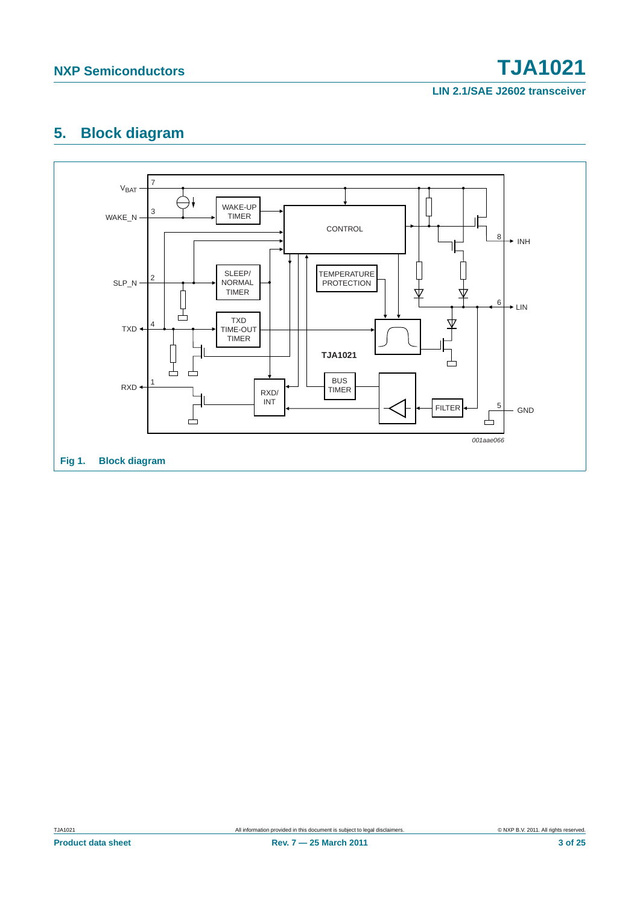## **NXP Semiconductors TJA1021**

**LIN 2.1/SAE J2602 transceiver**

### <span id="page-2-1"></span>**5. Block diagram**

<span id="page-2-0"></span>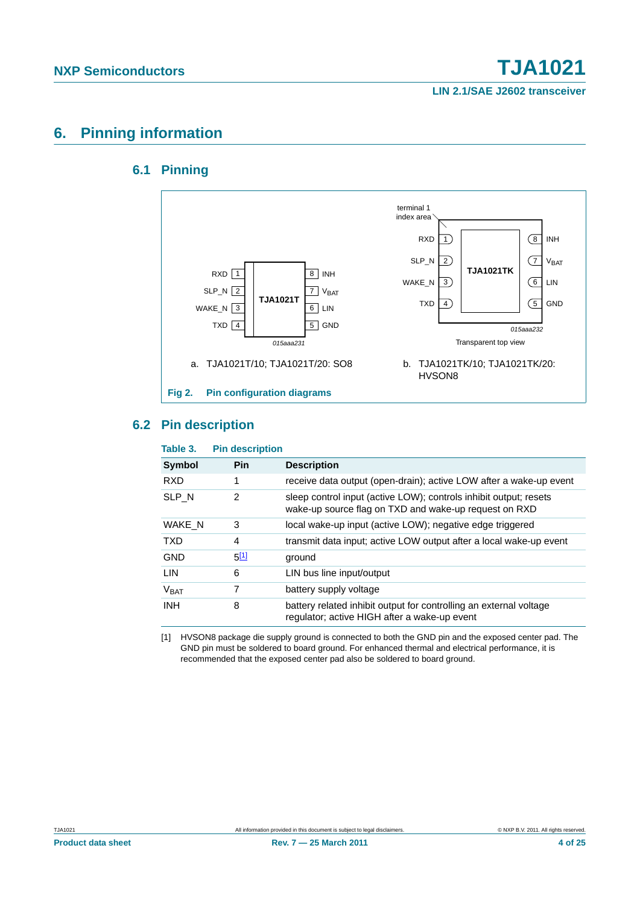### <span id="page-3-2"></span><span id="page-3-1"></span>**6. Pinning information**

### **6.1 Pinning**



#### <span id="page-3-3"></span>**6.2 Pin description**

| Table 3.         | <b>Pin description</b> |                                                                                                                            |
|------------------|------------------------|----------------------------------------------------------------------------------------------------------------------------|
| <b>Symbol</b>    | Pin                    | <b>Description</b>                                                                                                         |
| <b>RXD</b>       | 1                      | receive data output (open-drain); active LOW after a wake-up event                                                         |
| SLP N            | 2                      | sleep control input (active LOW); controls inhibit output; resets<br>wake-up source flag on TXD and wake-up request on RXD |
| WAKE N           | 3                      | local wake-up input (active LOW); negative edge triggered                                                                  |
| <b>TXD</b>       | 4                      | transmit data input; active LOW output after a local wake-up event                                                         |
| <b>GND</b>       | $5^{[1]}$              | ground                                                                                                                     |
| LIN              | 6                      | LIN bus line input/output                                                                                                  |
| V <sub>BAT</sub> | 7                      | battery supply voltage                                                                                                     |
| <b>INH</b>       | 8                      | battery related inhibit output for controlling an external voltage<br>regulator; active HIGH after a wake-up event         |

<span id="page-3-0"></span>[1] HVSON8 package die supply ground is connected to both the GND pin and the exposed center pad. The GND pin must be soldered to board ground. For enhanced thermal and electrical performance, it is recommended that the exposed center pad also be soldered to board ground.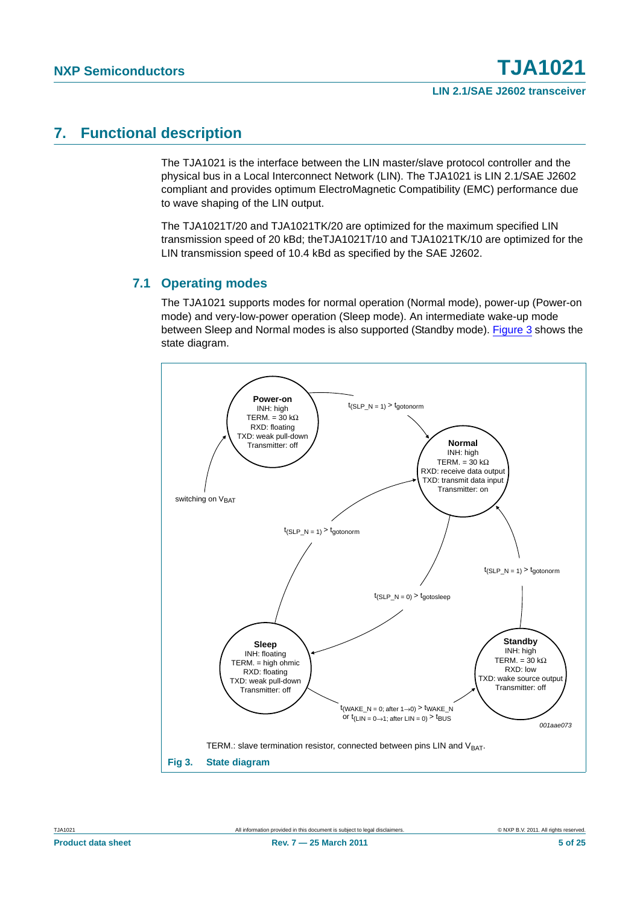### <span id="page-4-1"></span>**7. Functional description**

The TJA1021 is the interface between the LIN master/slave protocol controller and the physical bus in a Local Interconnect Network (LIN). The TJA1021 is LIN 2.1/SAE J2602 compliant and provides optimum ElectroMagnetic Compatibility (EMC) performance due to wave shaping of the LIN output.

The TJA1021T/20 and TJA1021TK/20 are optimized for the maximum specified LIN transmission speed of 20 kBd; theTJA1021T/10 and TJA1021TK/10 are optimized for the LIN transmission speed of 10.4 kBd as specified by the SAE J2602.

#### <span id="page-4-2"></span>**7.1 Operating modes**

The TJA1021 supports modes for normal operation (Normal mode), power-up (Power-on mode) and very-low-power operation (Sleep mode). An intermediate wake-up mode between Sleep and Normal modes is also supported (Standby mode). [Figure 3](#page-4-0) shows the state diagram.

<span id="page-4-0"></span>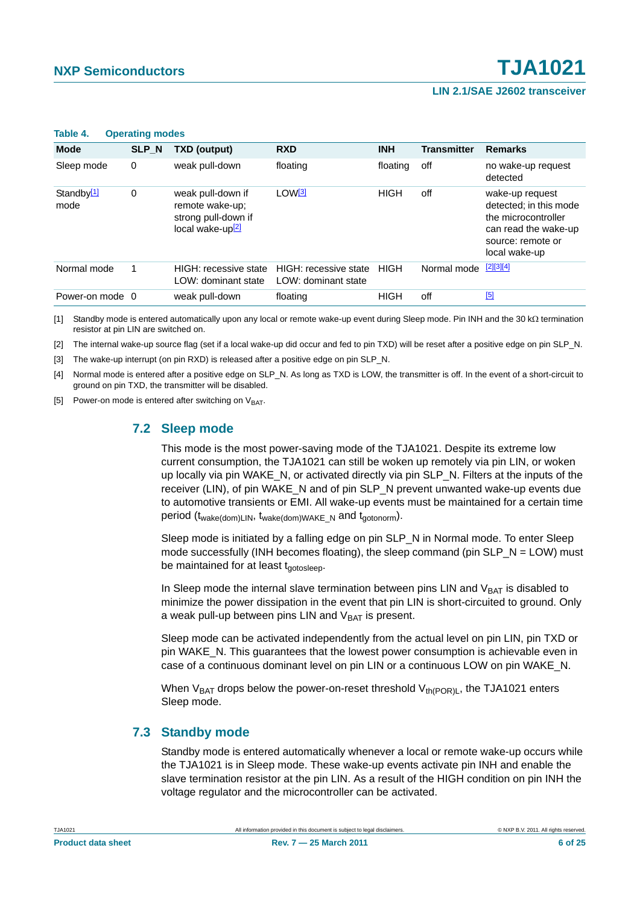| $\cdots$                       | $\sim$ $\sim$ $\sim$ $\sim$ $\sim$ $\sim$ $\sim$ $\sim$ |                                                                                             |                                              |             |                    |                                                                                                                                |
|--------------------------------|---------------------------------------------------------|---------------------------------------------------------------------------------------------|----------------------------------------------|-------------|--------------------|--------------------------------------------------------------------------------------------------------------------------------|
| <b>Mode</b>                    | SLP_N                                                   | <b>TXD (output)</b>                                                                         | <b>RXD</b>                                   | <b>INH</b>  | <b>Transmitter</b> | <b>Remarks</b>                                                                                                                 |
| Sleep mode                     | 0                                                       | weak pull-down                                                                              | floating                                     | floating    | off                | no wake-up request<br>detected                                                                                                 |
| Standby <sup>[1]</sup><br>mode | 0                                                       | weak pull-down if<br>remote wake-up;<br>strong pull-down if<br>local wake-up <sup>[2]</sup> | LOW <sup>[3]</sup>                           | HIGH        | off                | wake-up request<br>detected; in this mode<br>the microcontroller<br>can read the wake-up<br>source: remote or<br>local wake-up |
| Normal mode                    |                                                         | HIGH: recessive state<br>LOW: dominant state                                                | HIGH: recessive state<br>LOW: dominant state | <b>HIGH</b> | Normal mode        | $[2][3][4]$                                                                                                                    |
| Power-on mode 0                |                                                         | weak pull-down                                                                              | floating                                     | <b>HIGH</b> | off                | [5]                                                                                                                            |

#### **Table 4. Operating modes**

<span id="page-5-0"></span>[1] Standby mode is entered automatically upon any local or remote wake-up event during Sleep mode. Pin INH and the 30 k $\Omega$  termination resistor at pin LIN are switched on.

<span id="page-5-1"></span>[2] The internal wake-up source flag (set if a local wake-up did occur and fed to pin TXD) will be reset after a positive edge on pin SLP\_N.

<span id="page-5-2"></span>[3] The wake-up interrupt (on pin RXD) is released after a positive edge on pin SLP\_N.

<span id="page-5-3"></span>[4] Normal mode is entered after a positive edge on SLP\_N. As long as TXD is LOW, the transmitter is off. In the event of a short-circuit to ground on pin TXD, the transmitter will be disabled.

<span id="page-5-5"></span><span id="page-5-4"></span>[5] Power-on mode is entered after switching on  $V_{\text{BAT}}$ .

#### **7.2 Sleep mode**

This mode is the most power-saving mode of the TJA1021. Despite its extreme low current consumption, the TJA1021 can still be woken up remotely via pin LIN, or woken up locally via pin WAKE\_N, or activated directly via pin SLP\_N. Filters at the inputs of the receiver (LIN), of pin WAKE\_N and of pin SLP\_N prevent unwanted wake-up events due to automotive transients or EMI. All wake-up events must be maintained for a certain time period  $(t_{\text{wake(dom)}\text{LIN}}, t_{\text{wake(dom)}\text{WMKE}}$  N and  $t_{\text{aotonorm}}$ ).

Sleep mode is initiated by a falling edge on pin SLP N in Normal mode. To enter Sleep mode successfully (INH becomes floating), the sleep command (pin  $SLP_N = LOW$ ) must be maintained for at least  $t_{\text{notoslee}}$ .

In Sleep mode the internal slave termination between pins LIN and  $V_{BAT}$  is disabled to minimize the power dissipation in the event that pin LIN is short-circuited to ground. Only a weak pull-up between pins LIN and  $V_{BAT}$  is present.

Sleep mode can be activated independently from the actual level on pin LIN, pin TXD or pin WAKE\_N. This guarantees that the lowest power consumption is achievable even in case of a continuous dominant level on pin LIN or a continuous LOW on pin WAKE\_N.

When  $V_{BAT}$  drops below the power-on-reset threshold  $V_{th(POR)L}$ , the TJA1021 enters Sleep mode.

#### <span id="page-5-6"></span>**7.3 Standby mode**

Standby mode is entered automatically whenever a local or remote wake-up occurs while the TJA1021 is in Sleep mode. These wake-up events activate pin INH and enable the slave termination resistor at the pin LIN. As a result of the HIGH condition on pin INH the voltage regulator and the microcontroller can be activated.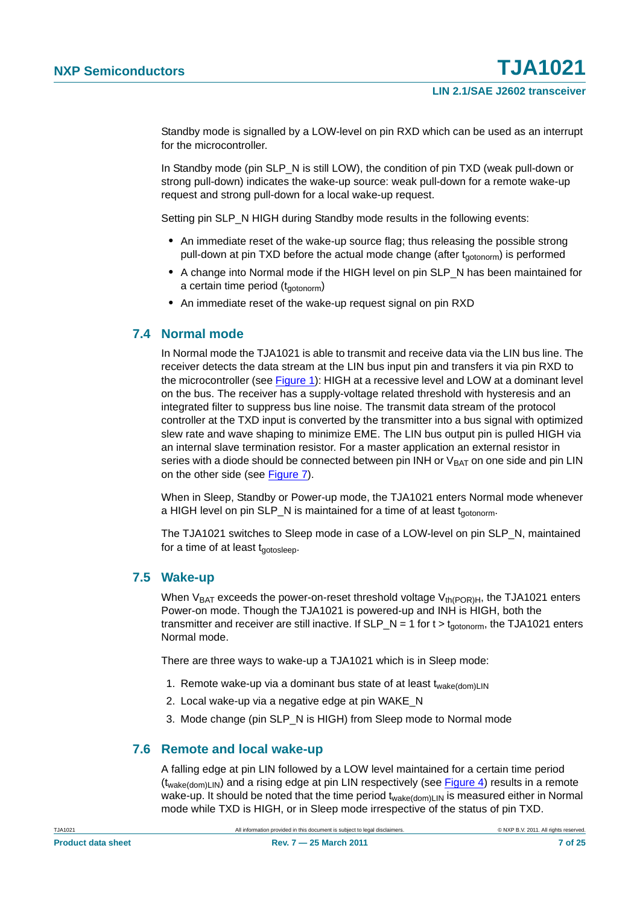Standby mode is signalled by a LOW-level on pin RXD which can be used as an interrupt for the microcontroller.

In Standby mode (pin SLP, N is still LOW), the condition of pin TXD (weak pull-down or strong pull-down) indicates the wake-up source: weak pull-down for a remote wake-up request and strong pull-down for a local wake-up request.

Setting pin SLP\_N HIGH during Standby mode results in the following events:

- **•** An immediate reset of the wake-up source flag; thus releasing the possible strong pull-down at pin TXD before the actual mode change (after  $t_{\text{contonorm}}$ ) is performed
- **•** A change into Normal mode if the HIGH level on pin SLP\_N has been maintained for a certain time period  $(t_{\text{gotonorm}})$
- **•** An immediate reset of the wake-up request signal on pin RXD

#### <span id="page-6-0"></span>**7.4 Normal mode**

In Normal mode the TJA1021 is able to transmit and receive data via the LIN bus line. The receiver detects the data stream at the LIN bus input pin and transfers it via pin RXD to the microcontroller (see [Figure 1\)](#page-2-0): HIGH at a recessive level and LOW at a dominant level on the bus. The receiver has a supply-voltage related threshold with hysteresis and an integrated filter to suppress bus line noise. The transmit data stream of the protocol controller at the TXD input is converted by the transmitter into a bus signal with optimized slew rate and wave shaping to minimize EME. The LIN bus output pin is pulled HIGH via an internal slave termination resistor. For a master application an external resistor in series with a diode should be connected between pin INH or  $V_{BAT}$  on one side and pin LIN on the other side (see [Figure 7](#page-15-0)).

When in Sleep, Standby or Power-up mode, the TJA1021 enters Normal mode whenever a HIGH level on pin SLP\_N is maintained for a time of at least  $t_{\text{noncomm}}$ .

The TJA1021 switches to Sleep mode in case of a LOW-level on pin SLP\_N, maintained for a time of at least  $t_{\text{gotosleep}}$ .

#### <span id="page-6-1"></span>**7.5 Wake-up**

When  $V_{BAT}$  exceeds the power-on-reset threshold voltage  $V_{th(POR)H}$ , the TJA1021 enters Power-on mode. Though the TJA1021 is powered-up and INH is HIGH, both the transmitter and receiver are still inactive. If  $SLP_N = 1$  for  $t > t_{\text{gotonorm}}$ , the TJA1021 enters Normal mode.

There are three ways to wake-up a TJA1021 which is in Sleep mode:

- 1. Remote wake-up via a dominant bus state of at least  $t_{\text{wake}(dom)LIN}$
- 2. Local wake-up via a negative edge at pin WAKE\_N
- 3. Mode change (pin SLP\_N is HIGH) from Sleep mode to Normal mode

#### <span id="page-6-2"></span>**7.6 Remote and local wake-up**

A falling edge at pin LIN followed by a LOW level maintained for a certain time period  $(t_{\text{wake(dom)LIN}})$  and a rising edge at pin LIN respectively (see [Figure 4](#page-8-0)) results in a remote wake-up. It should be noted that the time period t<sub>wake(dom)LIN</sub> is measured either in Normal mode while TXD is HIGH, or in Sleep mode irrespective of the status of pin TXD.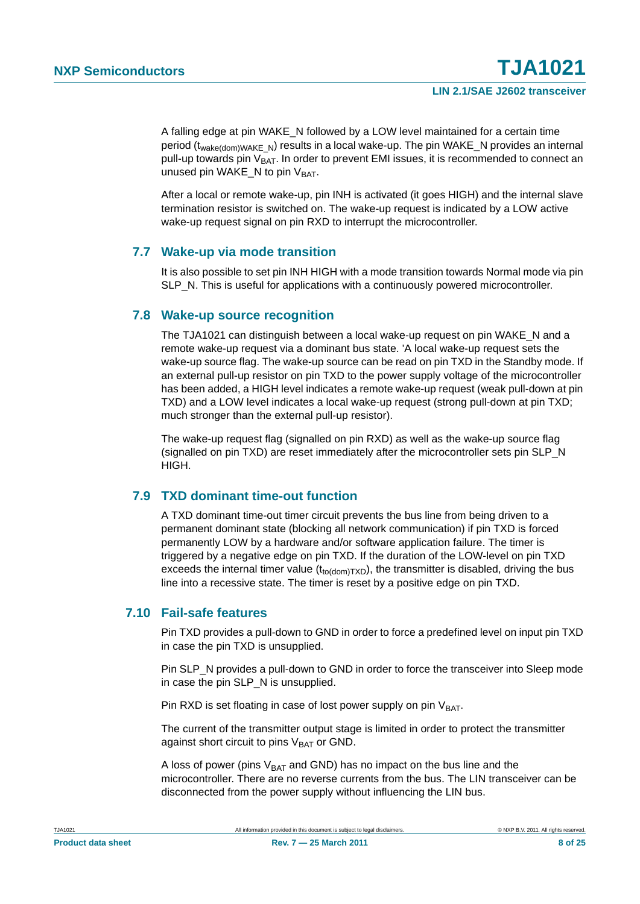A falling edge at pin WAKE\_N followed by a LOW level maintained for a certain time period ( $t_{\text{wake(dom)}\text{WAKE-N}}$ ) results in a local wake-up. The pin WAKE\_N provides an internal pull-up towards pin  $V_{BAT}$ . In order to prevent EMI issues, it is recommended to connect an unused pin WAKE\_N to pin  $V_{BAT}$ .

After a local or remote wake-up, pin INH is activated (it goes HIGH) and the internal slave termination resistor is switched on. The wake-up request is indicated by a LOW active wake-up request signal on pin RXD to interrupt the microcontroller.

#### <span id="page-7-0"></span>**7.7 Wake-up via mode transition**

It is also possible to set pin INH HIGH with a mode transition towards Normal mode via pin SLP\_N. This is useful for applications with a continuously powered microcontroller.

#### <span id="page-7-1"></span>**7.8 Wake-up source recognition**

The TJA1021 can distinguish between a local wake-up request on pin WAKE\_N and a remote wake-up request via a dominant bus state. 'A local wake-up request sets the wake-up source flag. The wake-up source can be read on pin TXD in the Standby mode. If an external pull-up resistor on pin TXD to the power supply voltage of the microcontroller has been added, a HIGH level indicates a remote wake-up request (weak pull-down at pin TXD) and a LOW level indicates a local wake-up request (strong pull-down at pin TXD; much stronger than the external pull-up resistor).

The wake-up request flag (signalled on pin RXD) as well as the wake-up source flag (signalled on pin TXD) are reset immediately after the microcontroller sets pin SLP\_N HIGH.

#### <span id="page-7-2"></span>**7.9 TXD dominant time-out function**

A TXD dominant time-out timer circuit prevents the bus line from being driven to a permanent dominant state (blocking all network communication) if pin TXD is forced permanently LOW by a hardware and/or software application failure. The timer is triggered by a negative edge on pin TXD. If the duration of the LOW-level on pin TXD exceeds the internal timer value  $(t_{\text{totdom}TXD})$ , the transmitter is disabled, driving the bus line into a recessive state. The timer is reset by a positive edge on pin TXD.

#### <span id="page-7-3"></span>**7.10 Fail-safe features**

Pin TXD provides a pull-down to GND in order to force a predefined level on input pin TXD in case the pin TXD is unsupplied.

Pin SLP N provides a pull-down to GND in order to force the transceiver into Sleep mode in case the pin SLP\_N is unsupplied.

Pin RXD is set floating in case of lost power supply on pin  $V<sub>BAT</sub>$ .

The current of the transmitter output stage is limited in order to protect the transmitter against short circuit to pins  $V_{BAT}$  or GND.

A loss of power (pins  $V_{BAT}$  and GND) has no impact on the bus line and the microcontroller. There are no reverse currents from the bus. The LIN transceiver can be disconnected from the power supply without influencing the LIN bus.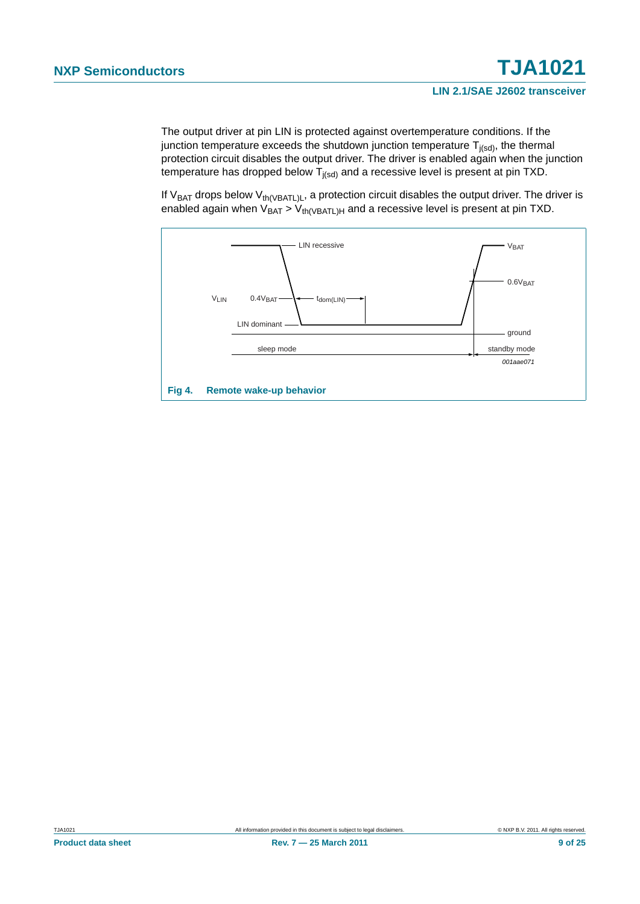The output driver at pin LIN is protected against overtemperature conditions. If the junction temperature exceeds the shutdown junction temperature  $T_{j(sd)}$ , the thermal protection circuit disables the output driver. The driver is enabled again when the junction temperature has dropped below  $T_{j(sd)}$  and a recessive level is present at pin TXD.

If  $V_{BAT}$  drops below  $V_{th(VBATL)L}$ , a protection circuit disables the output driver. The driver is enabled again when  $V_{BAT} > V_{th(VBATL)H}$  and a recessive level is present at pin TXD.

<span id="page-8-0"></span>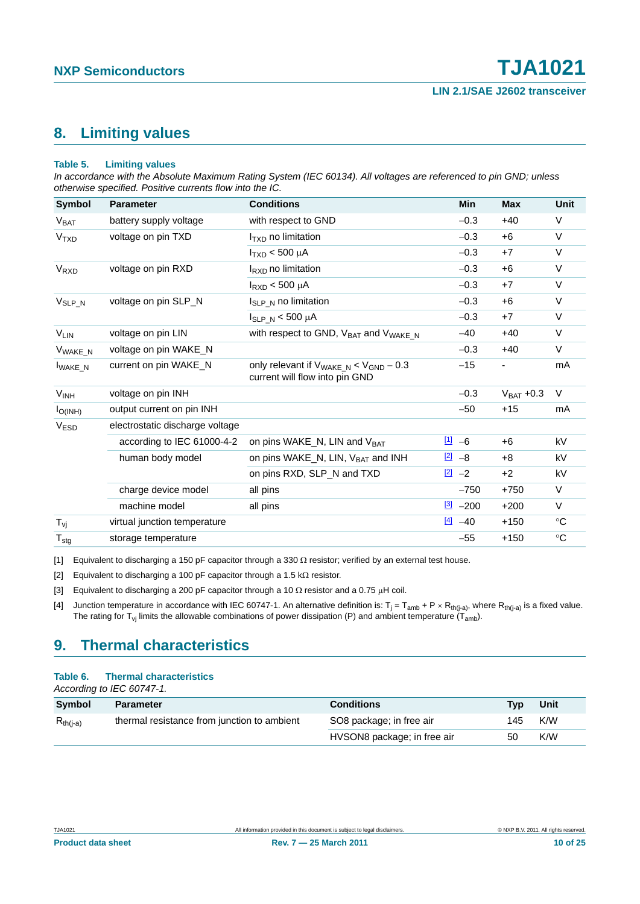### <span id="page-9-5"></span>**8. Limiting values**

#### <span id="page-9-4"></span>**Table 5. Limiting values**

*In accordance with the Absolute Maximum Rating System (IEC 60134). All voltages are referenced to pin GND; unless otherwise specified. Positive currents flow into the IC.*

| <b>Symbol</b>          | <b>Parameter</b>                | <b>Conditions</b>                                                                              | Min                  | <b>Max</b>     | Unit         |
|------------------------|---------------------------------|------------------------------------------------------------------------------------------------|----------------------|----------------|--------------|
| V <sub>BAT</sub>       | battery supply voltage          | with respect to GND                                                                            | $-0.3$               | $+40$          | V            |
| <b>V<sub>TXD</sub></b> | voltage on pin TXD              | $ITXD$ no limitation                                                                           | $-0.3$               | $+6$           | $\vee$       |
|                        |                                 | $I_{TXD}$ < 500 µA                                                                             | $-0.3$               | $+7$           | $\vee$       |
| V <sub>RXD</sub>       | voltage on pin RXD              | $I_{\rm RXD}$ no limitation                                                                    | $-0.3$               | $+6$           | $\vee$       |
|                        |                                 | $I_{RXD}$ < 500 µA                                                                             | $-0.3$               | $+7$           | $\vee$       |
| $V_{SLP_N}$            | voltage on pin SLP_N            | $I_{SLP-N}$ no limitation                                                                      | $-0.3$               | $+6$           | V            |
|                        |                                 | $I_{SLP_N}$ < 500 $\mu$ A                                                                      | $-0.3$               | $+7$           | $\vee$       |
| $V_{LIN}$              | voltage on pin LIN              | with respect to GND, V <sub>BAT</sub> and V <sub>WAKE N</sub>                                  | $-40$                | $+40$          | $\vee$       |
| V <sub>WAKE_N</sub>    | voltage on pin WAKE N           |                                                                                                | $-0.3$               | $+40$          | $\vee$       |
| <b>I</b> WAKE_N        | current on pin WAKE_N           | only relevant if $V_{\text{WAKE\_N}} < V_{\text{GND}} - 0.3$<br>current will flow into pin GND | $-15$                |                | mA           |
| V <sub>INH</sub>       | voltage on pin INH              |                                                                                                | $-0.3$               | $V_{BAT} +0.3$ | $\vee$       |
| $I_{O(INH)}$           | output current on pin INH       |                                                                                                | $-50$                | $+15$          | mA           |
| <b>VESD</b>            | electrostatic discharge voltage |                                                                                                |                      |                |              |
|                        | according to IEC 61000-4-2      | on pins WAKE_N, LIN and V <sub>BAT</sub>                                                       | $\frac{[1]}{[1]}$ -6 | $+6$           | kV           |
|                        | human body model                | on pins WAKE_N, LIN, V <sub>BAT</sub> and INH                                                  | $\frac{[2]}{2}$ -8   | $+8$           | kV           |
|                        |                                 | on pins RXD, SLP_N and TXD                                                                     | $\frac{[2]}{2}$ -2   | $+2$           | kV           |
|                        | charge device model             | all pins                                                                                       | $-750$               | $+750$         | $\vee$       |
|                        | machine model                   | all pins                                                                                       | $\frac{3}{2}$ -200   | $+200$         | V            |
| $T_{\nu j}$            | virtual junction temperature    |                                                                                                | $\frac{[4]}{2}$ -40  | $+150$         | $^{\circ}$ C |
| $T_{\text{stg}}$       | storage temperature             |                                                                                                | $-55$                | $+150$         | $^{\circ}C$  |

<span id="page-9-0"></span>[1] Equivalent to discharging a 150 pF capacitor through a 330  $\Omega$  resistor; verified by an external test house.

<span id="page-9-1"></span>[2] Equivalent to discharging a 100 pF capacitor through a 1.5 k $\Omega$  resistor.

<span id="page-9-2"></span>[3] Equivalent to discharging a 200 pF capacitor through a 10  $\Omega$  resistor and a 0.75  $\mu$ H coil.

<span id="page-9-3"></span>[4] Junction temperature in accordance with IEC 60747-1. An alternative definition is:  $T_i = T_{amb} + P \times R_{th(i-a)}$ , where  $R_{th(i-a)}$  is a fixed value. The rating for T<sub>vj</sub> limits the allowable combinations of power dissipation (P) and ambient temperature (T<sub>amb</sub>).

### <span id="page-9-6"></span>**9. Thermal characteristics**

#### **Table 6. Thermal characteristics**

*According to IEC 60747-1.*

| Symbol        | <b>Parameter</b>                            | <b>Conditions</b>           | <b>Tvp</b> | Unit |
|---------------|---------------------------------------------|-----------------------------|------------|------|
| $R_{th(i-a)}$ | thermal resistance from junction to ambient | SO8 package; in free air    | 145        | K/W  |
|               |                                             | HVSON8 package; in free air | 50         | K/W  |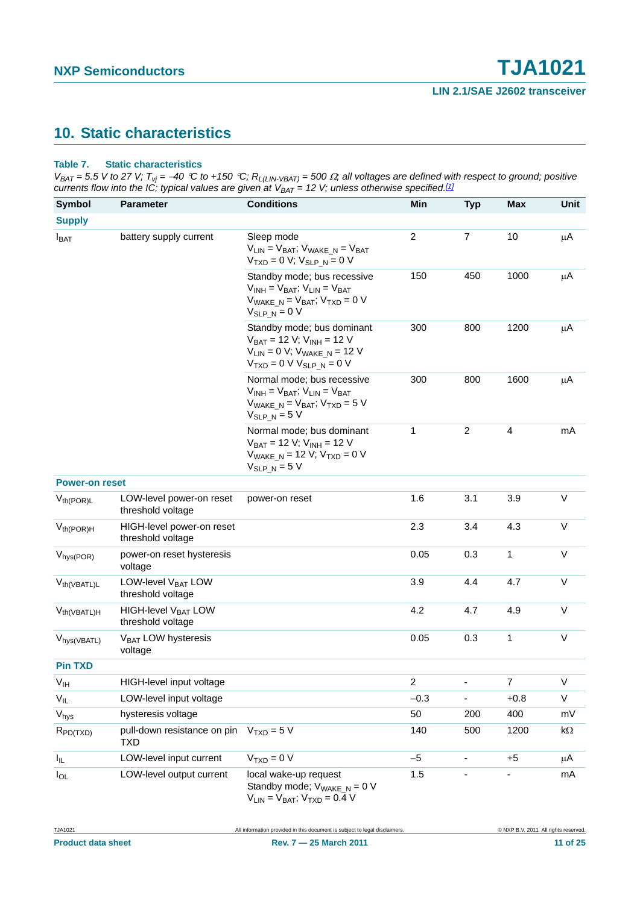### <span id="page-10-1"></span>**10. Static characteristics**

#### <span id="page-10-0"></span>**Table 7. Static characteristics**

 $V_{BAT}$  = 5.5 V to 27 V;  $T_{vj}$  = -40 °C to +150 °C;  $R_{L(LIN\text{-}VBAT)}$  = 500  $\Omega$ ; all voltages are defined with respect to ground; positive *currents flow into the IC; typical values are given at VBAT = 12 V; unless otherwise specified.[\[1\]](#page-12-0)*

| <b>Symbol</b>            | <b>Parameter</b>                                     | <b>Conditions</b>                                                                                                                                              | Min            | <b>Typ</b>     | <b>Max</b>     | Unit       |
|--------------------------|------------------------------------------------------|----------------------------------------------------------------------------------------------------------------------------------------------------------------|----------------|----------------|----------------|------------|
| <b>Supply</b>            |                                                      |                                                                                                                                                                |                |                |                |            |
| $I_{BAT}$                | battery supply current                               | Sleep mode<br>$V_{LIN} = V_{BAT}$ ; $V_{WAKE}$ $N = V_{BAT}$<br>$V_{TXD} = 0 V; V_{SLP_N} = 0 V$                                                               | $\overline{c}$ | $\overline{7}$ | 10             | μA         |
|                          |                                                      | Standby mode; bus recessive<br>$V_{INH} = V_{BAT}$ ; $V_{LIN} = V_{BAT}$<br>$V_{\text{WAKE N}} = V_{\text{BAT}}$ ; $V_{\text{TXD}} = 0$ V<br>$V_{SLP N} = 0 V$ | 150            | 450            | 1000           | μA         |
|                          |                                                      | Standby mode; bus dominant<br>$V_{BAT} = 12 V; V_{INH} = 12 V$<br>$V_{LIN} = 0 V$ ; $V_{WAKE_N} = 12 V$<br>$VTXD = 0 V VSLP_N = 0 V$                           | 300            | 800            | 1200           | μA         |
|                          |                                                      | Normal mode; bus recessive<br>$V_{INH} = V_{BAT}$ ; $V_{LIN} = V_{BAT}$<br>$V_{\text{WAKE\_N}} = V_{\text{BAT}}$ ; $V_{\text{TXD}} = 5$ V<br>$V_{SLP N} = 5 V$ | 300            | 800            | 1600           | μA         |
|                          |                                                      | Normal mode; bus dominant<br>$V_{BAT} = 12 V; V_{INH} = 12 V$<br>$V_{\text{WAKE\_N}}$ = 12 V; $V_{\text{TXD}}$ = 0 V<br>$V_{SLP,N} = 5 V$                      | $\mathbf{1}$   | $\overline{2}$ | $\overline{4}$ | mA         |
| <b>Power-on reset</b>    |                                                      |                                                                                                                                                                |                |                |                |            |
| $V_{th(POR)L}$           | LOW-level power-on reset<br>threshold voltage        | power-on reset                                                                                                                                                 | 1.6            | 3.1            | 3.9            | $\vee$     |
| $V_{th(POR)H}$           | HIGH-level power-on reset<br>threshold voltage       |                                                                                                                                                                | 2.3            | 3.4            | 4.3            | $\vee$     |
| $V_{hys(POR)}$           | power-on reset hysteresis<br>voltage                 |                                                                                                                                                                | 0.05           | 0.3            | 1              | $\vee$     |
| V <sub>th</sub> (VBATL)L | LOW-level V <sub>BAT</sub> LOW<br>threshold voltage  |                                                                                                                                                                | 3.9            | 4.4            | 4.7            | V          |
| $V_{th(VBATL)H}$         | HIGH-level V <sub>BAT</sub> LOW<br>threshold voltage |                                                                                                                                                                | 4.2            | 4.7            | 4.9            | $\vee$     |
| V <sub>hys</sub> (VBATL) | V <sub>BAT</sub> LOW hysteresis<br>voltage           |                                                                                                                                                                | 0.05           | 0.3            | 1              | $\vee$     |
| <b>Pin TXD</b>           |                                                      |                                                                                                                                                                |                |                |                |            |
| $V_{IH}$                 | HIGH-level input voltage                             |                                                                                                                                                                | $\overline{c}$ |                | $\overline{7}$ | $\vee$     |
| $V_{IL}$                 | LOW-level input voltage                              |                                                                                                                                                                | $-0.3$         |                | $+0.8$         | V          |
| $\rm V_{\rm hys}$        | hysteresis voltage                                   |                                                                                                                                                                | 50             | 200            | 400            | mV         |
| $R_{PD(TXD)}$            | pull-down resistance on pin<br><b>TXD</b>            | $VTXD = 5 V$                                                                                                                                                   | 140            | 500            | 1200           | k $\Omega$ |
| $I_{\parallel L}$        | LOW-level input current                              | $VTXD = 0 V$                                                                                                                                                   | $-5$           |                | $+5$           | μA         |
| $I_{OL}$                 | LOW-level output current                             | local wake-up request<br>Standby mode; $V_{\text{WAKE\_N}} = 0$ V                                                                                              | 1.5            |                |                | mA         |

 $V_{LIN} = V_{BAT}$ ;  $V_{TXD} = 0.4$  V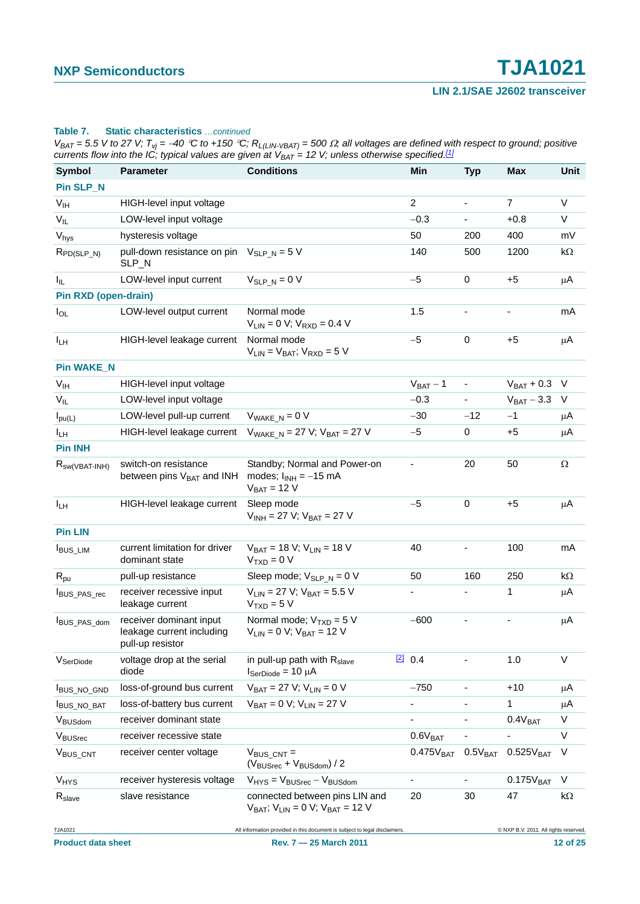#### **Table 7. Static characteristics** *…continued*

 $V_{BAT}$  = 5.5 V to 27 V;  $T_{vj}$  = -40 °C to +150 °C;  $R_{L(LIN\text{-}VBAT)}$  = 500  $\Omega$ ; all voltages are defined with respect to ground; positive *currents flow into the IC; typical values are given at VBAT = 12 V; unless otherwise specified.[1]*

| <b>Symbol</b>               | <b>Parameter</b>                                                         | <b>Conditions</b>                                                               |         | Min                      | <b>Typ</b>               | <b>Max</b>                            | Unit       |
|-----------------------------|--------------------------------------------------------------------------|---------------------------------------------------------------------------------|---------|--------------------------|--------------------------|---------------------------------------|------------|
| Pin SLP_N                   |                                                                          |                                                                                 |         |                          |                          |                                       |            |
| V <sub>IH</sub>             | HIGH-level input voltage                                                 |                                                                                 |         | $\overline{2}$           | $\blacksquare$           | $\overline{7}$                        | V          |
| $V_{IL}$                    | LOW-level input voltage                                                  |                                                                                 |         | $-0.3$                   |                          | $+0.8$                                | $\vee$     |
| $\rm V_{hys}$               | hysteresis voltage                                                       |                                                                                 |         | 50                       | 200                      | 400                                   | mV         |
| $R_{PD(SLP_N)}$             | pull-down resistance on pin<br>SLP_N                                     | $V_{SLP N} = 5 V$                                                               |         | 140                      | 500                      | 1200                                  | k $\Omega$ |
| ΙL.                         | LOW-level input current                                                  | $V_{SLP N} = 0 V$                                                               |         | $-5$                     | $\mathbf 0$              | $+5$                                  | μA         |
| <b>Pin RXD (open-drain)</b> |                                                                          |                                                                                 |         |                          |                          |                                       |            |
| $I_{OL}$                    | LOW-level output current                                                 | Normal mode<br>$V_{LIN} = 0 V$ ; $V_{RXD} = 0.4 V$                              |         | 1.5                      |                          |                                       | mA         |
| I <sub>LH</sub>             | HIGH-level leakage current                                               | Normal mode<br>$V_{LIN} = V_{BAT}$ ; $V_{RXD} = 5 V$                            |         | $-5$                     | $\mathbf 0$              | $+5$                                  | μA         |
| <b>Pin WAKE_N</b>           |                                                                          |                                                                                 |         |                          |                          |                                       |            |
| V <sub>IH</sub>             | HIGH-level input voltage                                                 |                                                                                 |         | $V_{BAT} - 1$            | $\blacksquare$           | $V_{BAT} + 0.3$                       | V          |
| $V_{IL}$                    | LOW-level input voltage                                                  |                                                                                 |         | $-0.3$                   |                          | $V_{BAT} - 3.3$                       | V          |
| $I_{\text{pu}(L)}$          | LOW-level pull-up current                                                | $V_{\text{WAKE N}} = 0 V$                                                       |         | $-30$                    | $-12$                    | $-1$                                  | μA         |
| I <sub>LH</sub>             | HIGH-level leakage current                                               | $V_{\text{WAKE N}} = 27 \text{ V}; V_{\text{BAT}} = 27 \text{ V}$               |         | $-5$                     | 0                        | $+5$                                  | μA         |
| <b>Pin INH</b>              |                                                                          |                                                                                 |         |                          |                          |                                       |            |
| $R_{SW(VBAT-INH)}$          | switch-on resistance<br>between pins V <sub>BAT</sub> and INH            | Standby; Normal and Power-on<br>modes; $I_{INH} = -15$ mA<br>$V_{BAT}$ = 12 V   |         |                          | 20                       | 50                                    | Ω          |
| I <sub>LH</sub>             | HIGH-level leakage current                                               | Sleep mode<br>$V_{INH}$ = 27 V; $V_{BAT}$ = 27 V                                |         | $-5$                     | 0                        | $+5$                                  | μA         |
| <b>Pin LIN</b>              |                                                                          |                                                                                 |         |                          |                          |                                       |            |
| <b>I</b> BUS_LIM            | current limitation for driver<br>dominant state                          | $V_{BAT} = 18 V; V_{LIN} = 18 V$<br>$VTXD = 0 V$                                |         | 40                       |                          | 100                                   | mA         |
| $R_{\text{pu}}$             | pull-up resistance                                                       | Sleep mode; $V_{SLP_N} = 0 V$                                                   |         | 50                       | 160                      | 250                                   | $k\Omega$  |
| BUS_PAS_rec                 | receiver recessive input<br>leakage current                              | $V_{LIN} = 27 V$ ; $V_{BAT} = 5.5 V$<br>$VTXD = 5 V$                            |         |                          |                          | 1                                     | μA         |
| BUS_PAS_dom                 | receiver dominant input<br>leakage current including<br>pull-up resistor | Normal mode; $V_{TXD} = 5 V$<br>$V_{LIN} = 0 V$ ; $V_{BAT} = 12 V$              |         | $-600$                   |                          |                                       | μA         |
| V <sub>SerDiode</sub>       | voltage drop at the serial<br>diode                                      | in pull-up path with R <sub>slave</sub><br>$I_{\text{SerDiode}} = 10 \mu A$     | [2] 0.4 |                          |                          | 1.0                                   | V          |
| BUS_NO_GND                  | loss-of-ground bus current                                               | $V_{BAT} = 27 V; V_{LIN} = 0 V$                                                 |         | $-750$                   | $\overline{\phantom{a}}$ | $+10$                                 | μA         |
| BUS_NO_BAT                  | loss-of-battery bus current                                              | $V_{BAT} = 0 V; V_{LIN} = 27 V$                                                 |         | $\overline{\phantom{0}}$ |                          | 1                                     | μA         |
| VBUSdom                     | receiver dominant state                                                  |                                                                                 |         |                          |                          | 0.4V <sub>BAT</sub>                   | V          |
| VBUSrec                     | receiver recessive state                                                 |                                                                                 |         | 0.6V <sub>BAT</sub>      |                          |                                       | V          |
| V <sub>BUS_CNT</sub>        | receiver center voltage                                                  | $V_{BUS CNT}$ =<br>$(V_{\text{BUSrec}} + V_{\text{BUSdom}})/2$                  |         | 0.475V <sub>BAT</sub>    | $0.5\mathrm{V_{BAT}}$    | 0.525V <sub>BAT</sub>                 | V          |
| $V_{HYS}$                   | receiver hysteresis voltage                                              | $V_{HYS} = V_{BUSrec} - V_{BUSdom}$                                             |         | $\overline{\phantom{a}}$ |                          | 0.175V <sub>BAT</sub>                 | V          |
| R <sub>slave</sub>          | slave resistance                                                         | connected between pins LIN and<br>$V_{BAT}$ ; $V_{LIN} = 0$ V; $V_{BAT} = 12$ V |         | 20                       | 30                       | 47                                    | $k\Omega$  |
| TJA1021                     |                                                                          | All information provided in this document is subject to legal disclaimers.      |         |                          |                          | @ NXP B.V. 2011. All rights reserved. |            |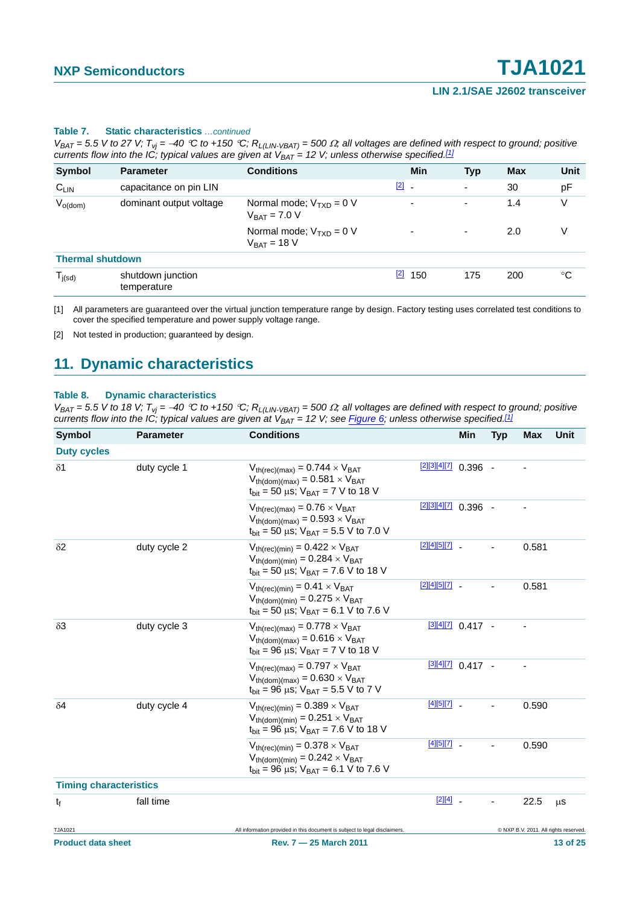#### **Table 7. Static characteristics** *…continued*

 $V_{BAT} = 5.5$  V to 27 V;  $T_{vj} = -40$  °C to +150 °C;  $R_{L(LIN-VBAT)} = 500 \Omega$ ; all voltages are defined with respect to ground; positive *currents flow into the IC; typical values are given at*  $V_{BAT} = 12$  *V; unless otherwise specified.<sup>[1]</sup>* 

| <b>Symbol</b>           | <b>Parameter</b>                 | <b>Conditions</b>                                 | Min                      | <b>Typ</b>               | <b>Max</b> | Unit |
|-------------------------|----------------------------------|---------------------------------------------------|--------------------------|--------------------------|------------|------|
| $C_{LIN}$               | capacitance on pin LIN           |                                                   | $\boxed{2}$ -            | ٠                        | 30         | pF   |
| $V_{o(dom)}$            | dominant output voltage          | Normal mode; $V_{TXD} = 0 V$<br>$V_{BAT}$ = 7.0 V | ٠                        | $\overline{\phantom{a}}$ | 1.4        | V    |
|                         |                                  | Normal mode: $V_{TxD} = 0 V$<br>$V_{BAT}$ = 18 V  | $\overline{\phantom{a}}$ | ٠                        | 2.0        | V    |
| <b>Thermal shutdown</b> |                                  |                                                   |                          |                          |            |      |
| $T_{j(sd)}$             | shutdown junction<br>temperature |                                                   | $\boxed{2}$<br>150       | 175                      | 200        | °C   |

<span id="page-12-0"></span>[1] All parameters are guaranteed over the virtual junction temperature range by design. Factory testing uses correlated test conditions to cover the specified temperature and power supply voltage range.

<span id="page-12-1"></span>[2] Not tested in production; guaranteed by design.

### <span id="page-12-3"></span>**11. Dynamic characteristics**

#### <span id="page-12-2"></span>**Table 8. Dynamic characteristics**

 $V_{BAT} = 5.5$  V to 18 V;  $T_{vj} = -40$  °C to +150 °C;  $R_{L(LIN-VBAT)} = 500 \Omega$ ; all voltages are defined with respect to ground; positive *currents flow into the IC; typical values are given at V<sub>BAT</sub> = 12 V; see [Figure 6](#page-14-0); unless otherwise specified.<sup>[\[1\]](#page-13-0)</sup>* 

| <b>Symbol</b>                 | <b>Parameter</b> | <b>Conditions</b>                                                                                                                                                   |                      | Min                 | <b>Typ</b> | <b>Max</b> | Unit                                  |
|-------------------------------|------------------|---------------------------------------------------------------------------------------------------------------------------------------------------------------------|----------------------|---------------------|------------|------------|---------------------------------------|
| <b>Duty cycles</b>            |                  |                                                                                                                                                                     |                      |                     |            |            |                                       |
| $\delta$ 1                    | duty cycle 1     | $V_{th(rec)(max)} = 0.744 \times V_{BAT}$<br>$V_{th(dom)(max)} = 0.581 \times V_{BAT}$<br>$t_{\text{bit}}$ = 50 µs; $V_{\text{BAT}}$ = 7 V to 18 V                  | $121314177$ 0.396 -  |                     |            |            |                                       |
|                               |                  | $V_{th(rec)(max)} = 0.76 \times V_{BAT}$<br>$V_{th(dom)(max)} = 0.593 \times V_{BAT}$<br>$t_{\text{bit}}$ = 50 µs; $V_{\text{BAT}}$ = 5.5 V to 7.0 V                | [2][3][4][7] 0.396 - |                     |            |            |                                       |
| $\delta$ <sup>2</sup>         | duty cycle 2     | $V_{th(rec)(min)} = 0.422 \times V_{BAT}$<br>$V_{th(dom)(min)} = 0.284 \times V_{BAT}$<br>$t_{\text{bit}}$ = 50 µs; $V_{\text{BAT}}$ = 7.6 V to 18 V                | $[2][4][5][7]$ -     |                     |            | 0.581      |                                       |
|                               |                  | $V_{th(rec)(min)} = 0.41 \times V_{BAT}$<br>$V_{th(dom)(min)} = 0.275 \times V_{BAT}$<br>$t_{\text{bit}}$ = 50 µs; $V_{\text{BAT}}$ = 6.1 V to 7.6 V                | $[2][4][5][7]$ -     |                     |            | 0.581      |                                       |
| $\delta 3$                    | duty cycle 3     | $V_{th(rec)(max)} = 0.778 \times V_{BAT}$<br>$V_{th(dom)(max)} = 0.616 \times V_{BAT}$<br>$t_{\text{bit}}$ = 96 µs; $V_{\text{BAT}}$ = 7 V to 18 V                  |                      | $[3][4][7]$ 0.417 - |            |            |                                       |
|                               |                  | $V_{th(rec)(max)} = 0.797 \times V_{BAT}$<br>$V_{th(dom)(max)} = 0.630 \times V_{BAT}$<br>$t_{\text{bit}}$ = 96 µs; $V_{\text{BAT}}$ = 5.5 V to 7 V                 |                      | $[3][4][7]$ 0.417 - |            |            |                                       |
| $\delta$ 4                    | duty cycle 4     | $V_{th(rec)(min)} = 0.389 \times V_{BAT}$<br>$V_{th(dom)(min)} = 0.251 \times V_{BAT}$<br>$t_{\text{bit}} = 96 \,\mu s$ ; $V_{\text{BAT}} = 7.6 \,\text{V}$ to 18 V | $[4][5][7]$ .        |                     |            | 0.590      |                                       |
|                               |                  | $V_{th(rec)(min)} = 0.378 \times V_{BAT}$<br>$V_{th(dom)(min)} = 0.242 \times V_{BAT}$<br>$t_{\text{bit}}$ = 96 µs; $V_{\text{BAT}}$ = 6.1 V to 7.6 V               | $[4][5][7]$ _        |                     |            | 0.590      |                                       |
| <b>Timing characteristics</b> |                  |                                                                                                                                                                     |                      |                     |            |            |                                       |
| $t_{\rm f}$                   | fall time        |                                                                                                                                                                     | $[2][4]$ -           |                     |            | 22.5       | μS                                    |
| TJA1021                       |                  | All information provided in this document is subject to legal disclaimers.                                                                                          |                      |                     |            |            | @ NXP B.V. 2011. All rights reserved. |
| <b>Product data sheet</b>     |                  | Rev. 7 - 25 March 2011                                                                                                                                              |                      |                     |            |            | 13 of 25                              |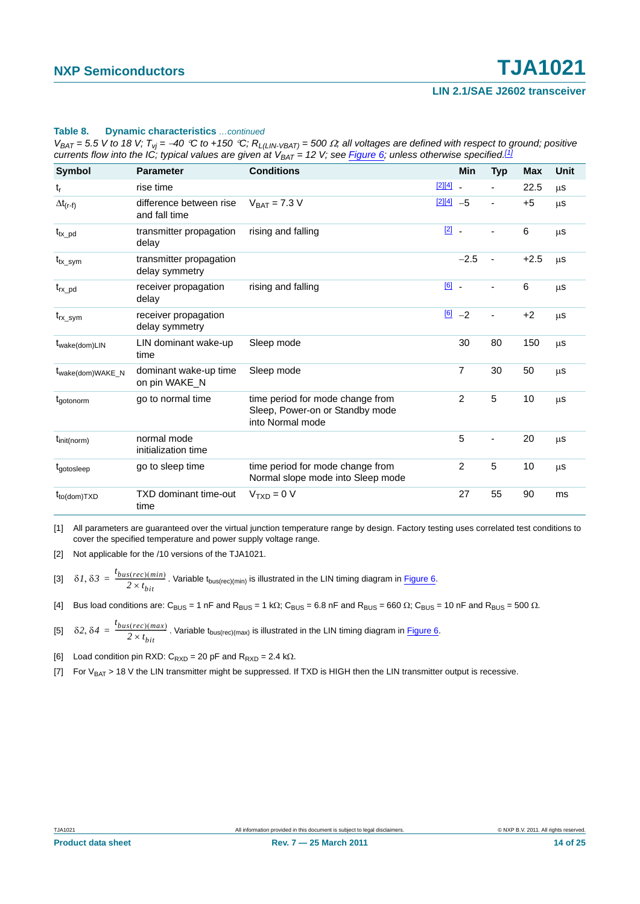#### **Table 8. Dynamic characteristics** *…continued*

 $V_{BAT} = 5.5$  V to 18 V;  $T_{Vi} = -40$  °C to +150 °C;  $R_{L(LIN\,VBAT)} = 500$   $\Omega$ ; all voltages are defined with respect to ground; positive *currents flow into the IC; typical values are given at V<sub>BAT</sub> = 12 V; see Figure 6; unless otherwise specified.<sup>[1]</sup>* 

| Symbol                        | <b>Parameter</b>                          | <b>Conditions</b>                                                                       |               | Min            | <b>Typ</b>     | <b>Max</b> | Unit    |
|-------------------------------|-------------------------------------------|-----------------------------------------------------------------------------------------|---------------|----------------|----------------|------------|---------|
| $t_r$                         | rise time                                 |                                                                                         | $[2][4]$      |                |                | 22.5       | $\mu$ s |
| $\Delta t_{(r-f)}$            | difference between rise<br>and fall time  | $V_{BAT} = 7.3 V$                                                                       | $[2][4] -5$   |                | ÷              | $+5$       | μS      |
| $t_{tx\_pd}$                  | transmitter propagation<br>delay          | rising and falling                                                                      | $\boxed{2}$ . |                |                | $\,6$      | μS      |
| $\rm t_{tx\_sym}$             | transmitter propagation<br>delay symmetry |                                                                                         |               | $-2.5$         | $\blacksquare$ | $+2.5$     | $\mu$ S |
| $t_{rx\_pd}$                  | receiver propagation<br>delay             | rising and falling                                                                      | $[6]$ .       |                | ÷              | 6          | μS      |
| $t_{rx\_sym}$                 | receiver propagation<br>delay symmetry    |                                                                                         |               | $\boxed{6}$ -2 | $\blacksquare$ | $+2$       | μS      |
| $t_{\text{wake}(dom)LIN}$     | LIN dominant wake-up<br>time              | Sleep mode                                                                              |               | 30             | 80             | 150        | μS      |
| t <sub>wake</sub> (dom)WAKE_N | dominant wake-up time<br>on pin WAKE N    | Sleep mode                                                                              |               | 7              | 30             | 50         | μS      |
| tgotonorm                     | go to normal time                         | time period for mode change from<br>Sleep, Power-on or Standby mode<br>into Normal mode |               | $\overline{2}$ | 5              | 10         | μS      |
| $t_{init(norm)}$              | normal mode<br>initialization time        |                                                                                         |               | 5              |                | 20         | $\mu$ S |
| t <sub>gotosleep</sub>        | go to sleep time                          | time period for mode change from<br>Normal slope mode into Sleep mode                   |               | $\overline{2}$ | 5              | 10         | μS      |
| $t_{to (dom)TXD}$             | <b>TXD dominant time-out</b><br>time      | $VTXD = 0 V$                                                                            |               | 27             | 55             | 90         | ms      |

<span id="page-13-0"></span>[1] All parameters are guaranteed over the virtual junction temperature range by design. Factory testing uses correlated test conditions to cover the specified temperature and power supply voltage range.

<span id="page-13-2"></span><span id="page-13-1"></span>[2] Not applicable for the /10 versions of the TJA1021.

- [3]  $\delta I$ ,  $\delta \beta = \frac{t_{bus(rec)(min)}}{2 \times t_{bit}}$ . Variable  $t_{bus(rec)(min)}$  is illustrated in the LIN timing diagram in [Figure 6](#page-14-0).
- <span id="page-13-5"></span><span id="page-13-3"></span>[4] Bus load conditions are: C<sub>BUS</sub> = 1 nF and R<sub>BUS</sub> = 1 k $\Omega$ ; C<sub>BUS</sub> = 6.8 nF and R<sub>BUS</sub> = 660  $\Omega$ ; C<sub>BUS</sub> = 10 nF and R<sub>BUS</sub> = 500  $\Omega$ .
- [5]  $\delta 2$ ,  $\delta 4 = \frac{t_{bus(rec)(max)}}{2 \times t_{bit}}$ . Variable t<sub>bus(rec)(max)</sub> is illustrated in the LIN timing diagram in [Figure 6](#page-14-0).

<span id="page-13-6"></span>[6] Load condition pin RXD:  $C_{RXD} = 20$  pF and  $R_{RXD} = 2.4$  k.o.

<span id="page-13-4"></span>[7] For  $V_{BAT} > 18$  V the LIN transmitter might be suppressed. If TXD is HIGH then the LIN transmitter output is recessive.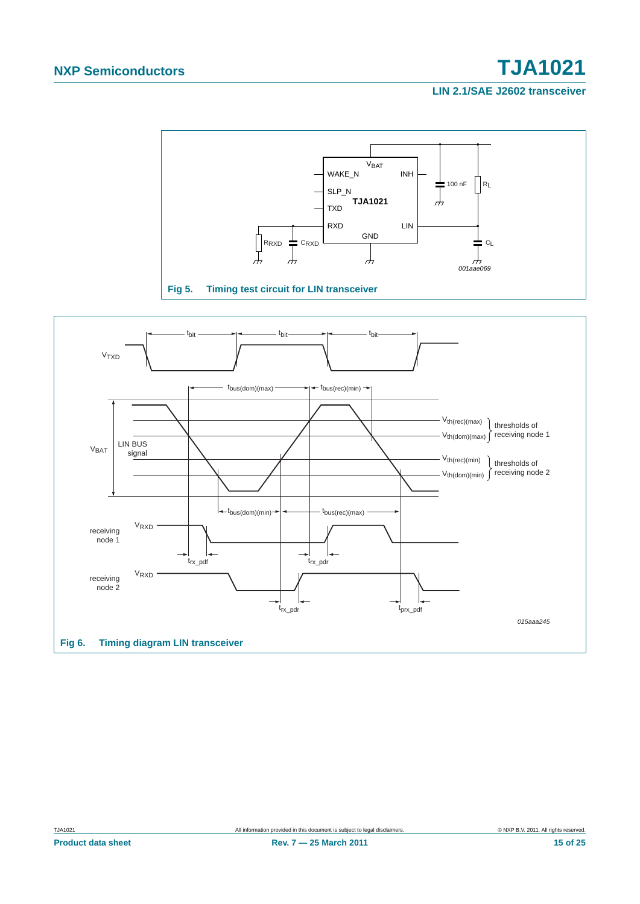# **NXP Semiconductors TJA1021**

**LIN 2.1/SAE J2602 transceiver**



<span id="page-14-0"></span>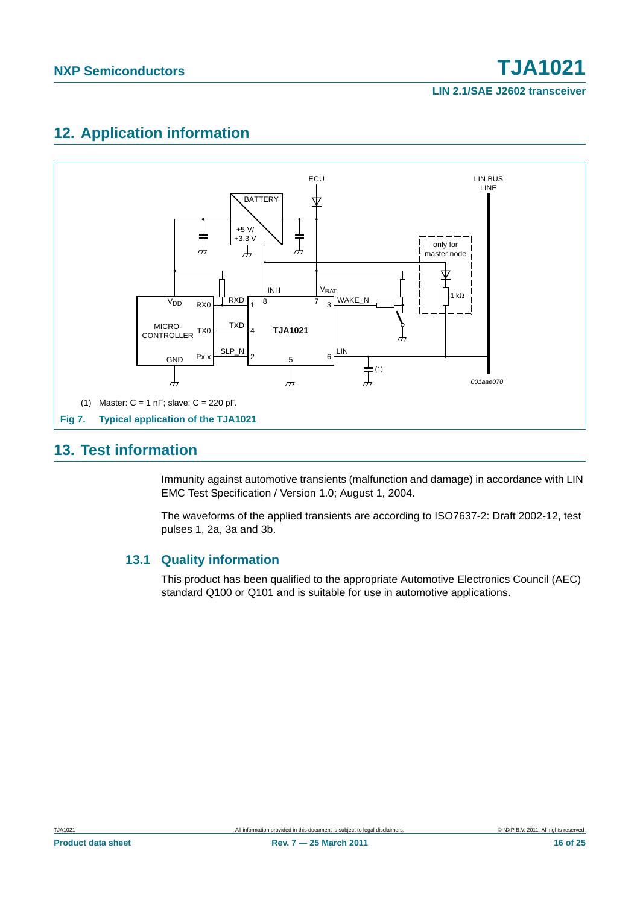**LIN 2.1/SAE J2602 transceiver**

## <span id="page-15-1"></span>**12. Application information**



### <span id="page-15-2"></span><span id="page-15-0"></span>**13. Test information**

Immunity against automotive transients (malfunction and damage) in accordance with LIN EMC Test Specification / Version 1.0; August 1, 2004.

The waveforms of the applied transients are according to ISO7637-2: Draft 2002-12, test pulses 1, 2a, 3a and 3b.

#### <span id="page-15-3"></span>**13.1 Quality information**

This product has been qualified to the appropriate Automotive Electronics Council (AEC) standard Q100 or Q101 and is suitable for use in automotive applications.

**Product data sheet** 16 0f 25 November 2011 **Rev. 7 – 25 March 2011** 16 0f 25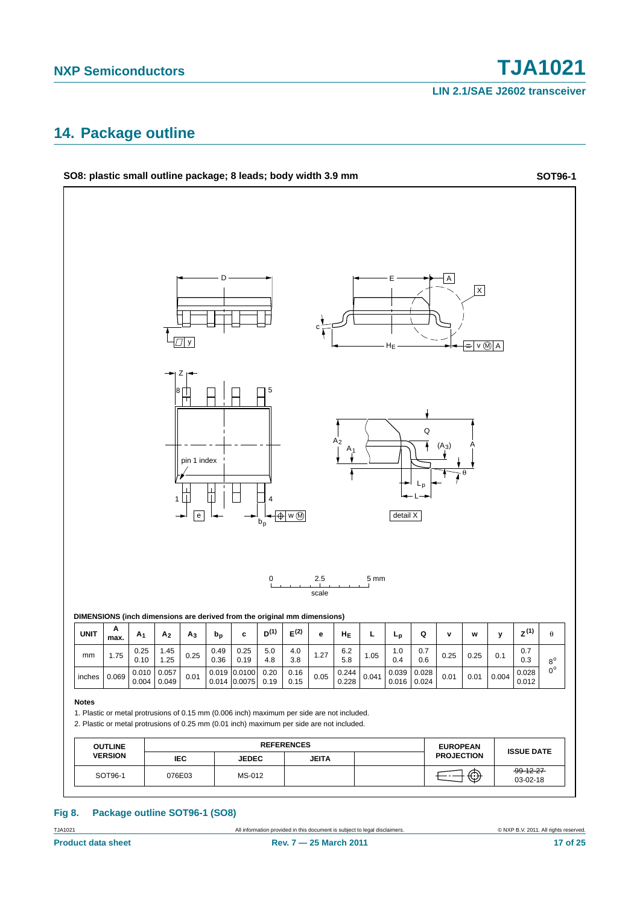**LIN 2.1/SAE J2602 transceiver**

### <span id="page-16-0"></span>**14. Package outline**



#### **Fig 8. Package outline SOT96-1 (SO8)**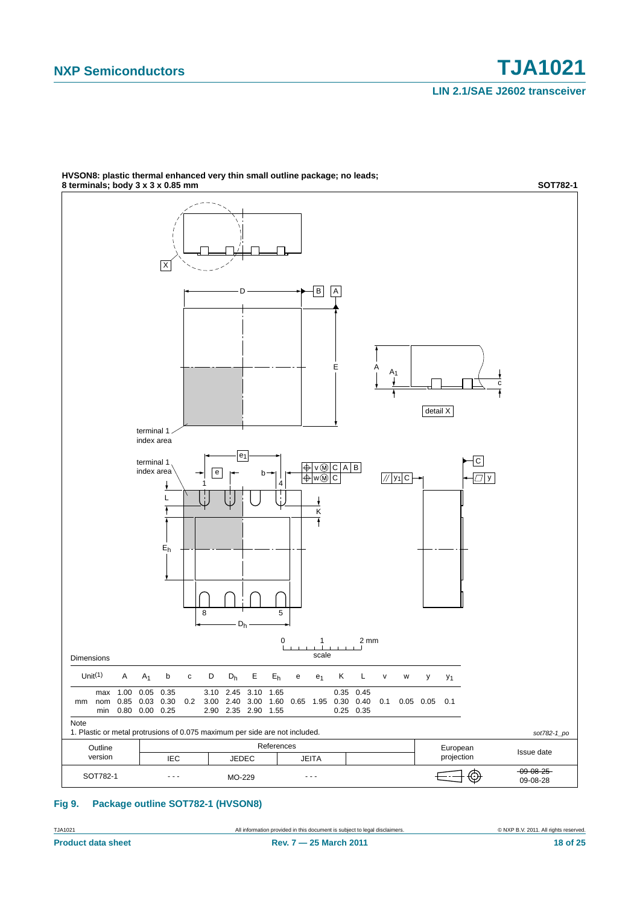

**HVSON8: plastic thermal enhanced very thin small outline package; no leads;**

#### **Fig 9. Package outline SOT782-1 (HVSON8)**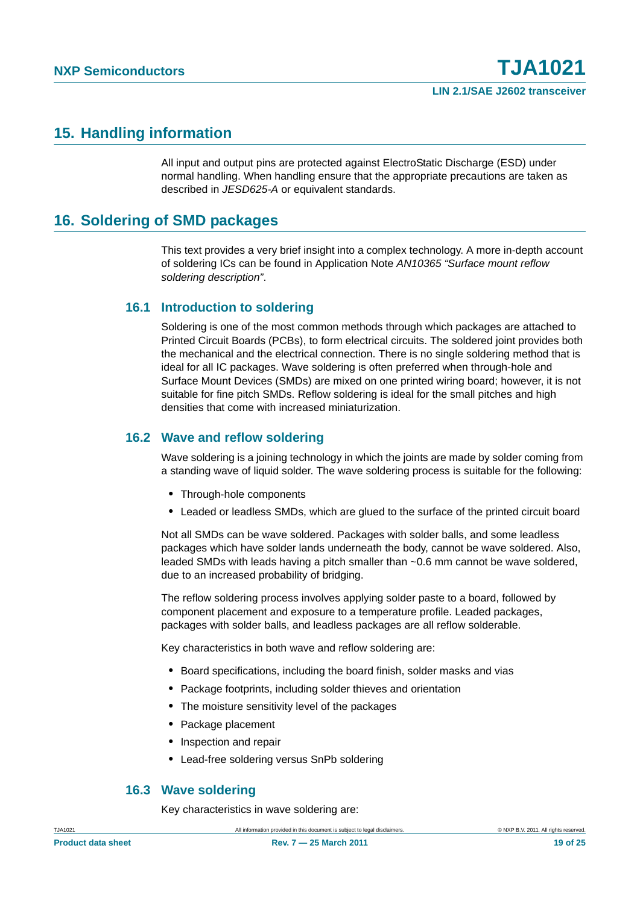### <span id="page-18-1"></span>**15. Handling information**

All input and output pins are protected against ElectroStatic Discharge (ESD) under normal handling. When handling ensure that the appropriate precautions are taken as described in *JESD625-A* or equivalent standards.

### <span id="page-18-0"></span>**16. Soldering of SMD packages**

This text provides a very brief insight into a complex technology. A more in-depth account of soldering ICs can be found in Application Note *AN10365 "Surface mount reflow soldering description"*.

#### <span id="page-18-2"></span>**16.1 Introduction to soldering**

Soldering is one of the most common methods through which packages are attached to Printed Circuit Boards (PCBs), to form electrical circuits. The soldered joint provides both the mechanical and the electrical connection. There is no single soldering method that is ideal for all IC packages. Wave soldering is often preferred when through-hole and Surface Mount Devices (SMDs) are mixed on one printed wiring board; however, it is not suitable for fine pitch SMDs. Reflow soldering is ideal for the small pitches and high densities that come with increased miniaturization.

#### <span id="page-18-3"></span>**16.2 Wave and reflow soldering**

Wave soldering is a joining technology in which the joints are made by solder coming from a standing wave of liquid solder. The wave soldering process is suitable for the following:

- **•** Through-hole components
- **•** Leaded or leadless SMDs, which are glued to the surface of the printed circuit board

Not all SMDs can be wave soldered. Packages with solder balls, and some leadless packages which have solder lands underneath the body, cannot be wave soldered. Also, leaded SMDs with leads having a pitch smaller than ~0.6 mm cannot be wave soldered, due to an increased probability of bridging.

The reflow soldering process involves applying solder paste to a board, followed by component placement and exposure to a temperature profile. Leaded packages, packages with solder balls, and leadless packages are all reflow solderable.

Key characteristics in both wave and reflow soldering are:

- **•** Board specifications, including the board finish, solder masks and vias
- **•** Package footprints, including solder thieves and orientation
- **•** The moisture sensitivity level of the packages
- **•** Package placement
- **•** Inspection and repair
- **•** Lead-free soldering versus SnPb soldering

#### <span id="page-18-4"></span>**16.3 Wave soldering**

Key characteristics in wave soldering are: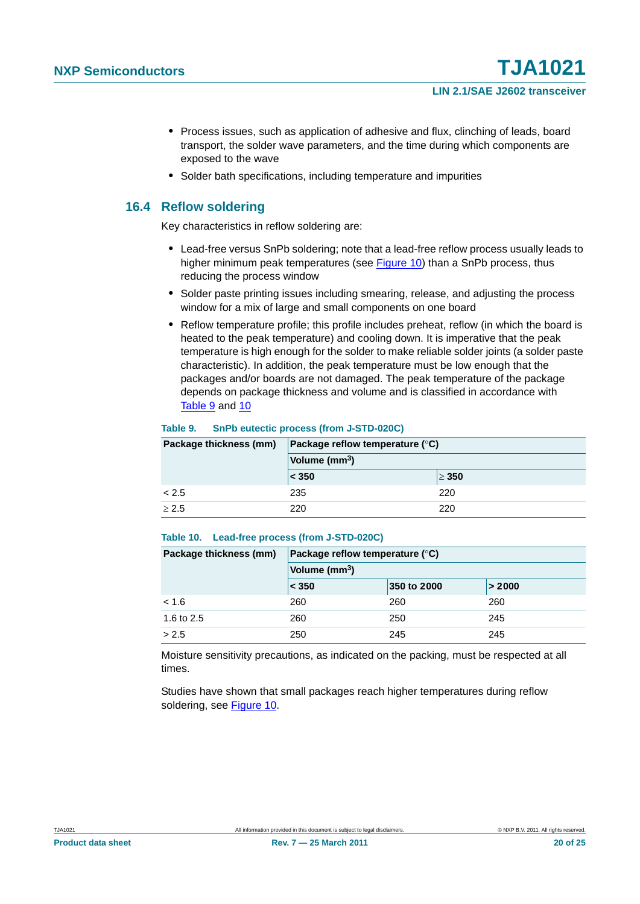- **•** Process issues, such as application of adhesive and flux, clinching of leads, board transport, the solder wave parameters, and the time during which components are exposed to the wave
- **•** Solder bath specifications, including temperature and impurities

#### <span id="page-19-0"></span>**16.4 Reflow soldering**

Key characteristics in reflow soldering are:

- **•** Lead-free versus SnPb soldering; note that a lead-free reflow process usually leads to higher minimum peak temperatures (see Figure 10) than a SnPb process, thus reducing the process window
- **•** Solder paste printing issues including smearing, release, and adjusting the process window for a mix of large and small components on one board
- **•** Reflow temperature profile; this profile includes preheat, reflow (in which the board is heated to the peak temperature) and cooling down. It is imperative that the peak temperature is high enough for the solder to make reliable solder joints (a solder paste characteristic). In addition, the peak temperature must be low enough that the packages and/or boards are not damaged. The peak temperature of the package depends on package thickness and volume and is classified in accordance with Table 9 and 10

#### **Table 9. SnPb eutectic process (from J-STD-020C)**

| Package thickness (mm) | Package reflow temperature $(^\circ \text{C})$ |            |  |  |
|------------------------|------------------------------------------------|------------|--|--|
|                        | Volume (mm <sup>3</sup> )                      |            |  |  |
|                        | $\leq 350$                                     | $\geq 350$ |  |  |
| < 2.5                  | 235                                            | 220        |  |  |
| > 2.5                  | 220                                            | 220        |  |  |

#### **Table 10. Lead-free process (from J-STD-020C)**

| Package thickness (mm) | Package reflow temperature $(^\circ \mathsf{C})$ |             |        |  |
|------------------------|--------------------------------------------------|-------------|--------|--|
|                        | Volume (mm <sup>3</sup> )                        |             |        |  |
|                        | < 350                                            | 350 to 2000 | > 2000 |  |
| < 1.6                  | 260                                              | 260         | 260    |  |
| 1.6 to 2.5             | 260                                              | 250         | 245    |  |
| > 2.5                  | 250                                              | 245         | 245    |  |

Moisture sensitivity precautions, as indicated on the packing, must be respected at all times.

Studies have shown that small packages reach higher temperatures during reflow soldering, see Figure 10.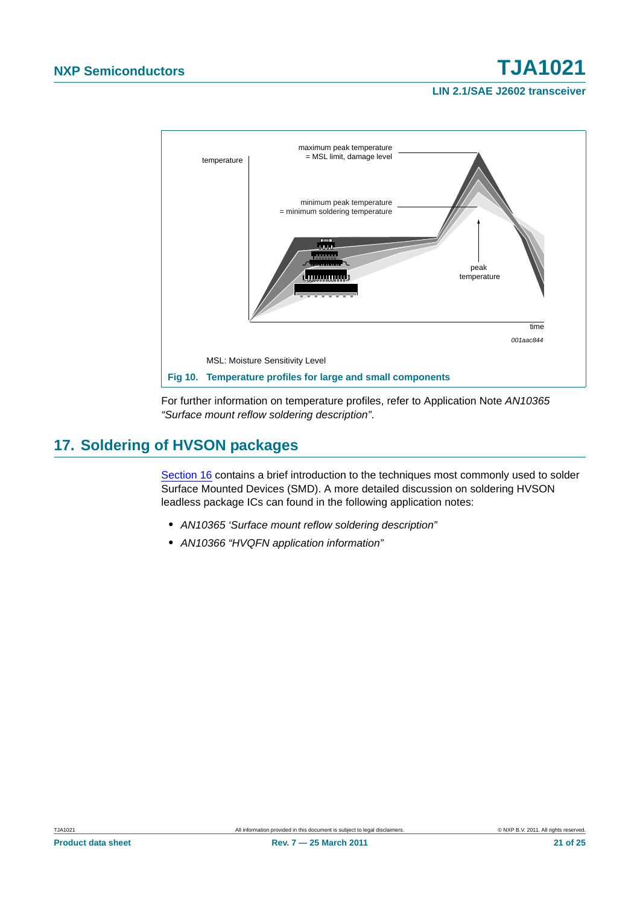**LIN 2.1/SAE J2602 transceiver**



For further information on temperature profiles, refer to Application Note *AN10365 "Surface mount reflow soldering description"*.

### <span id="page-20-0"></span>**17. Soldering of HVSON packages**

[Section 16](#page-18-0) contains a brief introduction to the techniques most commonly used to solder Surface Mounted Devices (SMD). A more detailed discussion on soldering HVSON leadless package ICs can found in the following application notes:

- **•** *AN10365 'Surface mount reflow soldering description"*
- **•** *AN10366 "HVQFN application information"*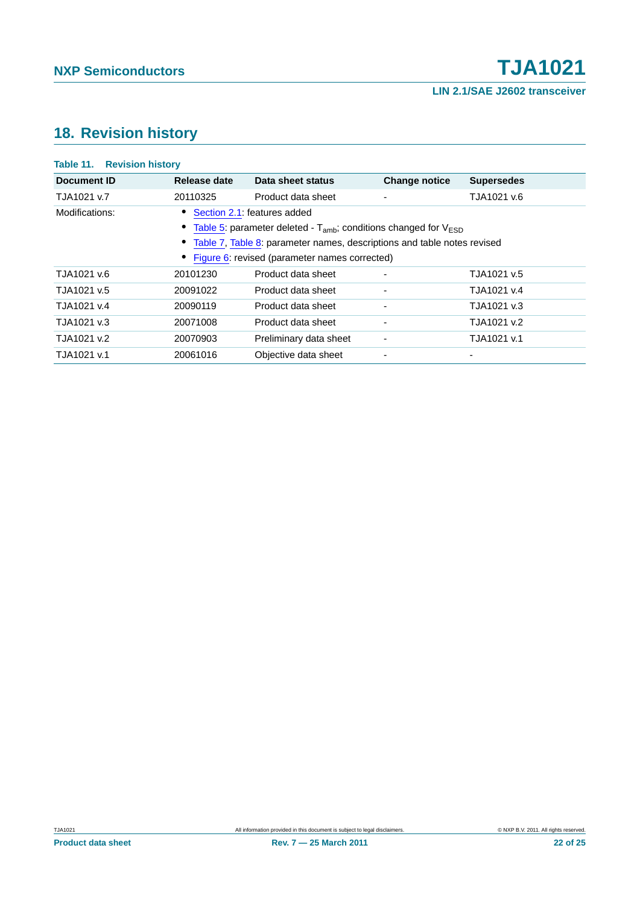### <span id="page-21-0"></span>**18. Revision history**

### **Table 11. Revision history Document ID Release date Data sheet status Change notice Supersedes** TJA1021 v.7 20110325 Product data sheet - TJA1021 v.6 Modifications: **•** [Section 2.1](#page-0-0): features added • [Table 5](#page-9-4): parameter deleted - T<sub>amb</sub>; conditions changed for V<sub>ESD</sub> **•** [Table 7](#page-10-0), [Table 8](#page-12-2): parameter names, descriptions and table notes revised **•** [Figure 6](#page-14-0): revised (parameter names corrected) TJA1021 v.6 20101230 Product data sheet - TJA1021 v.5 TJA1021 v.5 20091022 Product data sheet - TJA1021 v.4 TJA1021 v.4 20090119 Product data sheet - TJA1021 v.3 TJA1021 v.3 20071008 Product data sheet - TJA1021 v.2 TJA1021 v.2 20070903 Preliminary data sheet - TJA1021 v.1 TJA1021 v.1 20061016 Objective data sheet - -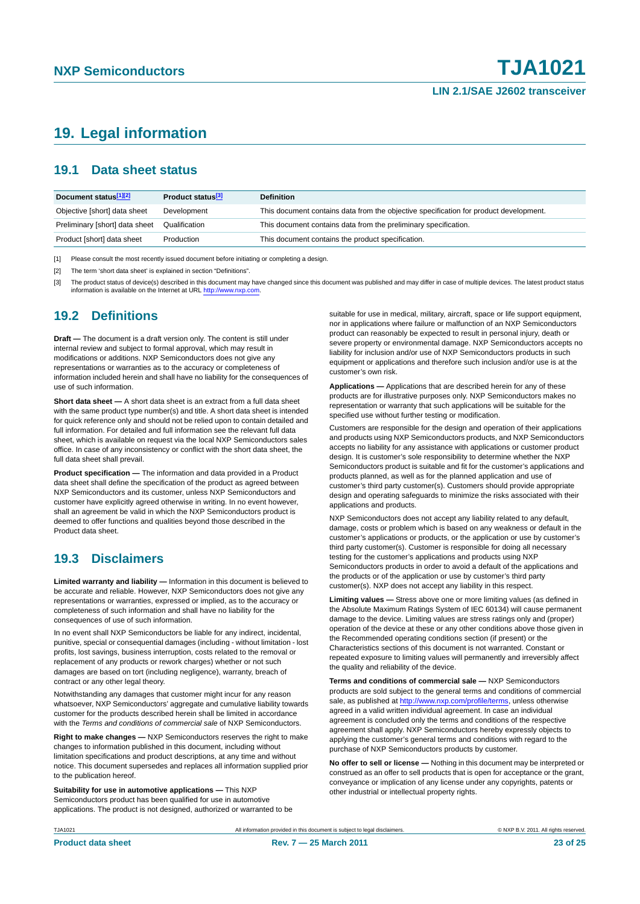### <span id="page-22-0"></span>**19. Legal information**

#### <span id="page-22-1"></span>**19.1 Data sheet status**

| Document status[1][2]          | Product status <sup>[3]</sup> | <b>Definition</b>                                                                     |
|--------------------------------|-------------------------------|---------------------------------------------------------------------------------------|
| Objective [short] data sheet   | Development                   | This document contains data from the objective specification for product development. |
| Preliminary [short] data sheet | Qualification                 | This document contains data from the preliminary specification.                       |
| Product [short] data sheet     | Production                    | This document contains the product specification.                                     |

[1] Please consult the most recently issued document before initiating or completing a design.

[2] The term 'short data sheet' is explained in section "Definitions".

[3] The product status of device(s) described in this document may have changed since this document was published and may differ in case of multiple devices. The latest product status<br>information is available on the Intern

#### <span id="page-22-2"></span>**19.2 Definitions**

**Draft —** The document is a draft version only. The content is still under internal review and subject to formal approval, which may result in modifications or additions. NXP Semiconductors does not give any representations or warranties as to the accuracy or completeness of information included herein and shall have no liability for the consequences of use of such information.

**Short data sheet —** A short data sheet is an extract from a full data sheet with the same product type number(s) and title. A short data sheet is intended for quick reference only and should not be relied upon to contain detailed and full information. For detailed and full information see the relevant full data sheet, which is available on request via the local NXP Semiconductors sales office. In case of any inconsistency or conflict with the short data sheet, the full data sheet shall prevail.

**Product specification —** The information and data provided in a Product data sheet shall define the specification of the product as agreed between NXP Semiconductors and its customer, unless NXP Semiconductors and customer have explicitly agreed otherwise in writing. In no event however, shall an agreement be valid in which the NXP Semiconductors product is deemed to offer functions and qualities beyond those described in the Product data sheet.

#### <span id="page-22-3"></span>**19.3 Disclaimers**

**Limited warranty and liability —** Information in this document is believed to be accurate and reliable. However, NXP Semiconductors does not give any representations or warranties, expressed or implied, as to the accuracy or completeness of such information and shall have no liability for the consequences of use of such information.

In no event shall NXP Semiconductors be liable for any indirect, incidental, punitive, special or consequential damages (including - without limitation - lost profits, lost savings, business interruption, costs related to the removal or replacement of any products or rework charges) whether or not such damages are based on tort (including negligence), warranty, breach of contract or any other legal theory.

Notwithstanding any damages that customer might incur for any reason whatsoever, NXP Semiconductors' aggregate and cumulative liability towards customer for the products described herein shall be limited in accordance with the *Terms and conditions of commercial sale* of NXP Semiconductors.

**Right to make changes —** NXP Semiconductors reserves the right to make changes to information published in this document, including without limitation specifications and product descriptions, at any time and without notice. This document supersedes and replaces all information supplied prior to the publication hereof.

**Suitability for use in automotive applications —** This NXP Semiconductors product has been qualified for use in automotive applications. The product is not designed, authorized or warranted to be suitable for use in medical, military, aircraft, space or life support equipment nor in applications where failure or malfunction of an NXP Semiconductors product can reasonably be expected to result in personal injury, death or severe property or environmental damage. NXP Semiconductors accepts no liability for inclusion and/or use of NXP Semiconductors products in such equipment or applications and therefore such inclusion and/or use is at the customer's own risk.

**Applications —** Applications that are described herein for any of these products are for illustrative purposes only. NXP Semiconductors makes no representation or warranty that such applications will be suitable for the specified use without further testing or modification.

Customers are responsible for the design and operation of their applications and products using NXP Semiconductors products, and NXP Semiconductors accepts no liability for any assistance with applications or customer product design. It is customer's sole responsibility to determine whether the NXP Semiconductors product is suitable and fit for the customer's applications and products planned, as well as for the planned application and use of customer's third party customer(s). Customers should provide appropriate design and operating safeguards to minimize the risks associated with their applications and products.

NXP Semiconductors does not accept any liability related to any default, damage, costs or problem which is based on any weakness or default in the customer's applications or products, or the application or use by customer's third party customer(s). Customer is responsible for doing all necessary testing for the customer's applications and products using NXP Semiconductors products in order to avoid a default of the applications and the products or of the application or use by customer's third party customer(s). NXP does not accept any liability in this respect.

**Limiting values —** Stress above one or more limiting values (as defined in the Absolute Maximum Ratings System of IEC 60134) will cause permanent damage to the device. Limiting values are stress ratings only and (proper) operation of the device at these or any other conditions above those given in the Recommended operating conditions section (if present) or the Characteristics sections of this document is not warranted. Constant or repeated exposure to limiting values will permanently and irreversibly affect the quality and reliability of the device.

**Terms and conditions of commercial sale —** NXP Semiconductors products are sold subject to the general terms and conditions of commercial sale, as published at<http://www.nxp.com/profile/terms>, unless otherwise agreed in a valid written individual agreement. In case an individual agreement is concluded only the terms and conditions of the respective agreement shall apply. NXP Semiconductors hereby expressly objects to applying the customer's general terms and conditions with regard to the purchase of NXP Semiconductors products by customer.

**No offer to sell or license —** Nothing in this document may be interpreted or construed as an offer to sell products that is open for acceptance or the grant, conveyance or implication of any license under any copyrights, patents or other industrial or intellectual property rights.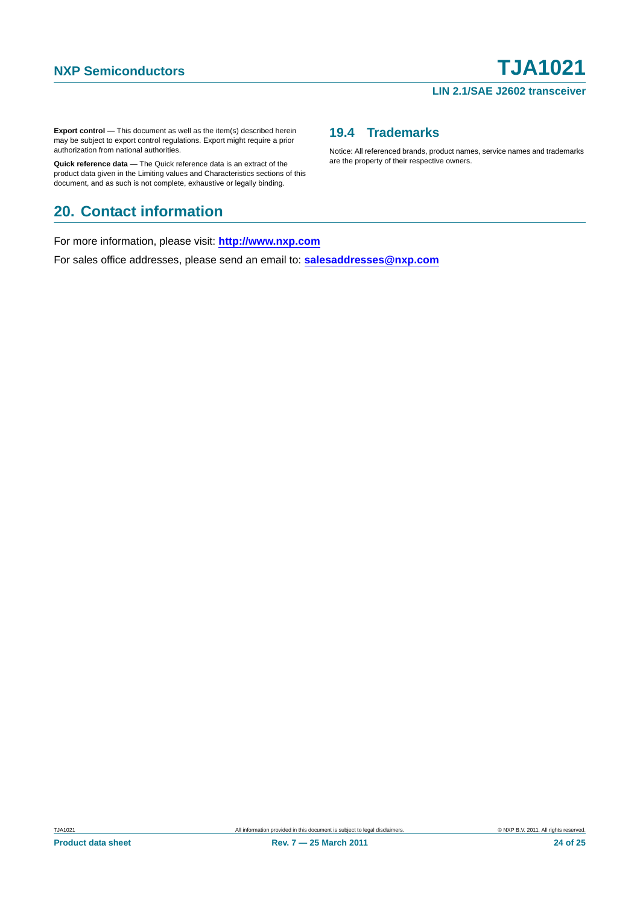#### **LIN 2.1/SAE J2602 transceiver**

**Export control —** This document as well as the item(s) described herein may be subject to export control regulations. Export might require a prior authorization from national authorities.

**Quick reference data —** The Quick reference data is an extract of the product data given in the Limiting values and Characteristics sections of this document, and as such is not complete, exhaustive or legally binding.

### <span id="page-23-1"></span>**20. Contact information**

For more information, please visit: **http://www.nxp.com**

For sales office addresses, please send an email to: **salesaddresses@nxp.com**

#### <span id="page-23-0"></span>**19.4 Trademarks**

Notice: All referenced brands, product names, service names and trademarks are the property of their respective owners.